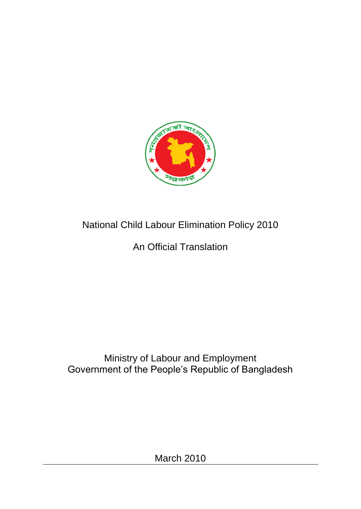

# National Child Labour Elimination Policy 2010

# An Official Translation

# Ministry of Labour and Employment Government of the People"s Republic of Bangladesh

March 2010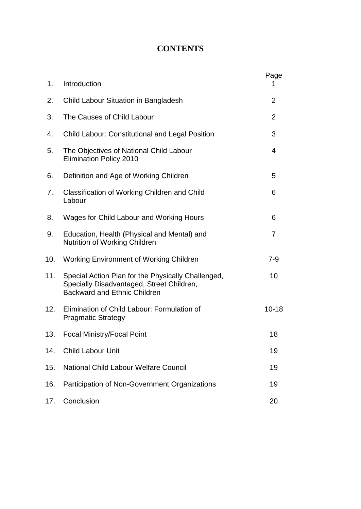#### **CONTENTS**

| 1.  | Introduction                                                                                                                           | Page<br>1      |
|-----|----------------------------------------------------------------------------------------------------------------------------------------|----------------|
| 2.  | Child Labour Situation in Bangladesh                                                                                                   | $\overline{2}$ |
| 3.  | The Causes of Child Labour                                                                                                             | 2              |
| 4.  | <b>Child Labour: Constitutional and Legal Position</b>                                                                                 | 3              |
| 5.  | The Objectives of National Child Labour<br><b>Elimination Policy 2010</b>                                                              | 4              |
| 6.  | Definition and Age of Working Children                                                                                                 | 5              |
| 7.  | Classification of Working Children and Child<br>Labour                                                                                 | 6              |
| 8.  | Wages for Child Labour and Working Hours                                                                                               | 6              |
| 9.  | Education, Health (Physical and Mental) and<br><b>Nutrition of Working Children</b>                                                    | 7              |
| 10. | <b>Working Environment of Working Children</b>                                                                                         | $7 - 9$        |
| 11. | Special Action Plan for the Physically Challenged,<br>Specially Disadvantaged, Street Children,<br><b>Backward and Ethnic Children</b> | 10             |
| 12. | Elimination of Child Labour: Formulation of<br><b>Pragmatic Strategy</b>                                                               | $10 - 18$      |
| 13. | <b>Focal Ministry/Focal Point</b>                                                                                                      | 18             |
| 14. | <b>Child Labour Unit</b>                                                                                                               | 19             |
| 15. | National Child Labour Welfare Council                                                                                                  | 19             |
| 16. | Participation of Non-Government Organizations                                                                                          | 19             |
| 17. | Conclusion                                                                                                                             | 20             |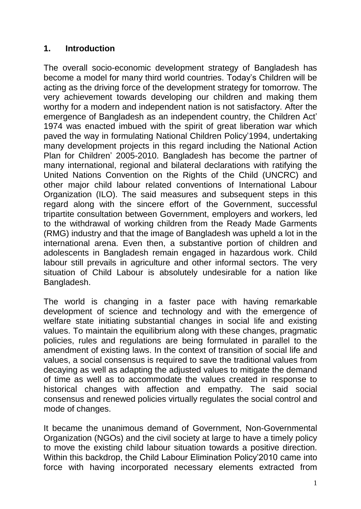#### **1. Introduction**

The overall socio-economic development strategy of Bangladesh has become a model for many third world countries. Today"s Children will be acting as the driving force of the development strategy for tomorrow. The very achievement towards developing our children and making them worthy for a modern and independent nation is not satisfactory. After the emergence of Bangladesh as an independent country, the Children Act" 1974 was enacted imbued with the spirit of great liberation war which paved the way in formulating National Children Policy"1994, undertaking many development projects in this regard including the National Action Plan for Children" 2005-2010. Bangladesh has become the partner of many international, regional and bilateral declarations with ratifying the United Nations Convention on the Rights of the Child (UNCRC) and other major child labour related conventions of International Labour Organization (ILO). The said measures and subsequent steps in this regard along with the sincere effort of the Government, successful tripartite consultation between Government, employers and workers, led to the withdrawal of working children from the Ready Made Garments (RMG) industry and that the image of Bangladesh was upheld a lot in the international arena. Even then, a substantive portion of children and adolescents in Bangladesh remain engaged in hazardous work. Child labour still prevails in agriculture and other informal sectors. The very situation of Child Labour is absolutely undesirable for a nation like Bangladesh.

The world is changing in a faster pace with having remarkable development of science and technology and with the emergence of welfare state initiating substantial changes in social life and existing values. To maintain the equilibrium along with these changes, pragmatic policies, rules and regulations are being formulated in parallel to the amendment of existing laws. In the context of transition of social life and values, a social consensus is required to save the traditional values from decaying as well as adapting the adjusted values to mitigate the demand of time as well as to accommodate the values created in response to historical changes with affection and empathy. The said social consensus and renewed policies virtually regulates the social control and mode of changes.

It became the unanimous demand of Government, Non-Governmental Organization (NGOs) and the civil society at large to have a timely policy to move the existing child labour situation towards a positive direction. Within this backdrop, the Child Labour Elimination Policy"2010 came into force with having incorporated necessary elements extracted from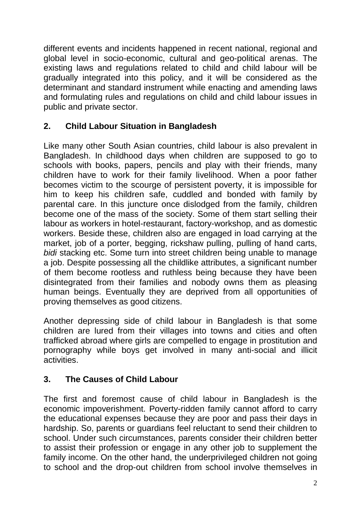different events and incidents happened in recent national, regional and global level in socio-economic, cultural and geo-political arenas. The existing laws and regulations related to child and child labour will be gradually integrated into this policy, and it will be considered as the determinant and standard instrument while enacting and amending laws and formulating rules and regulations on child and child labour issues in public and private sector.

## **2. Child Labour Situation in Bangladesh**

Like many other South Asian countries, child labour is also prevalent in Bangladesh. In childhood days when children are supposed to go to schools with books, papers, pencils and play with their friends, many children have to work for their family livelihood. When a poor father becomes victim to the scourge of persistent poverty, it is impossible for him to keep his children safe, cuddled and bonded with family by parental care. In this juncture once dislodged from the family, children become one of the mass of the society. Some of them start selling their labour as workers in hotel-restaurant, factory-workshop, and as domestic workers. Beside these, children also are engaged in load carrying at the market, job of a porter, begging, rickshaw pulling, pulling of hand carts, *bidi* stacking etc. Some turn into street children being unable to manage a job. Despite possessing all the childlike attributes, a significant number of them become rootless and ruthless being because they have been disintegrated from their families and nobody owns them as pleasing human beings. Eventually they are deprived from all opportunities of proving themselves as good citizens.

Another depressing side of child labour in Bangladesh is that some children are lured from their villages into towns and cities and often trafficked abroad where girls are compelled to engage in prostitution and pornography while boys get involved in many anti-social and illicit activities.

## **3. The Causes of Child Labour**

The first and foremost cause of child labour in Bangladesh is the economic impoverishment. Poverty-ridden family cannot afford to carry the educational expenses because they are poor and pass their days in hardship. So, parents or guardians feel reluctant to send their children to school. Under such circumstances, parents consider their children better to assist their profession or engage in any other job to supplement the family income. On the other hand, the underprivileged children not going to school and the drop-out children from school involve themselves in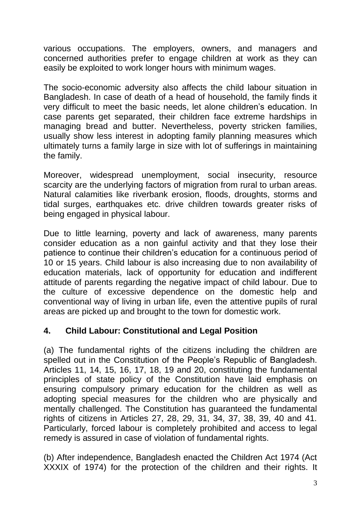various occupations. The employers, owners, and managers and concerned authorities prefer to engage children at work as they can easily be exploited to work longer hours with minimum wages.

The socio-economic adversity also affects the child labour situation in Bangladesh. In case of death of a head of household, the family finds it very difficult to meet the basic needs, let alone children"s education. In case parents get separated, their children face extreme hardships in managing bread and butter. Nevertheless, poverty stricken families, usually show less interest in adopting family planning measures which ultimately turns a family large in size with lot of sufferings in maintaining the family.

Moreover, widespread unemployment, social insecurity, resource scarcity are the underlying factors of migration from rural to urban areas. Natural calamities like riverbank erosion, floods, droughts, storms and tidal surges, earthquakes etc. drive children towards greater risks of being engaged in physical labour.

Due to little learning, poverty and lack of awareness, many parents consider education as a non gainful activity and that they lose their patience to continue their children"s education for a continuous period of 10 or 15 years. Child labour is also increasing due to non availability of education materials, lack of opportunity for education and indifferent attitude of parents regarding the negative impact of child labour. Due to the culture of excessive dependence on the domestic help and conventional way of living in urban life, even the attentive pupils of rural areas are picked up and brought to the town for domestic work.

## **4. Child Labour: Constitutional and Legal Position**

(a) The fundamental rights of the citizens including the children are spelled out in the Constitution of the People"s Republic of Bangladesh. Articles 11, 14, 15, 16, 17, 18, 19 and 20, constituting the fundamental principles of state policy of the Constitution have laid emphasis on ensuring compulsory primary education for the children as well as adopting special measures for the children who are physically and mentally challenged. The Constitution has guaranteed the fundamental rights of citizens in Articles 27, 28, 29, 31, 34, 37, 38, 39, 40 and 41. Particularly, forced labour is completely prohibited and access to legal remedy is assured in case of violation of fundamental rights.

(b) After independence, Bangladesh enacted the Children Act 1974 (Act XXXIX of 1974) for the protection of the children and their rights. It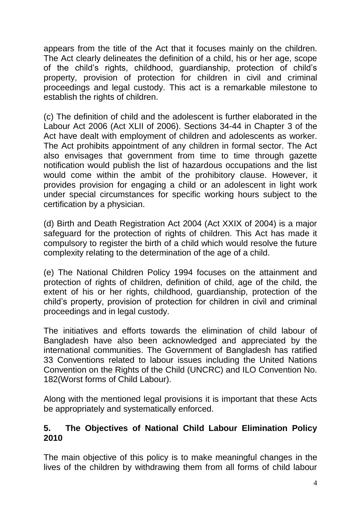appears from the title of the Act that it focuses mainly on the children. The Act clearly delineates the definition of a child, his or her age, scope of the child"s rights, childhood, guardianship, protection of child"s property, provision of protection for children in civil and criminal proceedings and legal custody. This act is a remarkable milestone to establish the rights of children.

(c) The definition of child and the adolescent is further elaborated in the Labour Act 2006 (Act XLII of 2006). Sections 34-44 in Chapter 3 of the Act have dealt with employment of children and adolescents as worker. The Act prohibits appointment of any children in formal sector. The Act also envisages that government from time to time through gazette notification would publish the list of hazardous occupations and the list would come within the ambit of the prohibitory clause. However, it provides provision for engaging a child or an adolescent in light work under special circumstances for specific working hours subject to the certification by a physician.

(d) Birth and Death Registration Act 2004 (Act XXIX of 2004) is a major safeguard for the protection of rights of children. This Act has made it compulsory to register the birth of a child which would resolve the future complexity relating to the determination of the age of a child.

(e) The National Children Policy 1994 focuses on the attainment and protection of rights of children, definition of child, age of the child, the extent of his or her rights, childhood, guardianship, protection of the child"s property, provision of protection for children in civil and criminal proceedings and in legal custody.

The initiatives and efforts towards the elimination of child labour of Bangladesh have also been acknowledged and appreciated by the international communities. The Government of Bangladesh has ratified 33 Conventions related to labour issues including the United Nations Convention on the Rights of the Child (UNCRC) and ILO Convention No. 182(Worst forms of Child Labour).

Along with the mentioned legal provisions it is important that these Acts be appropriately and systematically enforced.

#### **5. The Objectives of National Child Labour Elimination Policy 2010**

The main objective of this policy is to make meaningful changes in the lives of the children by withdrawing them from all forms of child labour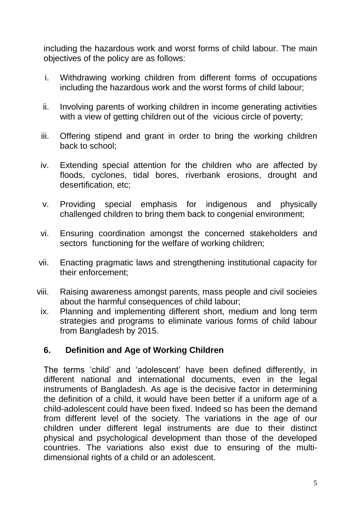including the hazardous work and worst forms of child labour. The main objectives of the policy are as follows:

- i. Withdrawing working children from different forms of occupations including the hazardous work and the worst forms of child labour;
- ii. Involving parents of working children in income generating activities with a view of getting children out of the vicious circle of poverty;
- iii. Offering stipend and grant in order to bring the working children back to school;
- iv. Extending special attention for the children who are affected by floods, cyclones, tidal bores, riverbank erosions, drought and desertification, etc;
- v. Providing special emphasis for indigenous and physically challenged children to bring them back to congenial environment;
- vi. Ensuring coordination amongst the concerned stakeholders and sectors functioning for the welfare of working children;
- vii. Enacting pragmatic laws and strengthening institutional capacity for their enforcement;
- viii. Raising awareness amongst parents, mass people and civil socieies about the harmful consequences of child labour;
	- ix. Planning and implementing different short, medium and long term strategies and programs to eliminate various forms of child labour from Bangladesh by 2015.

## **6. Definition and Age of Working Children**

The terms "child" and "adolescent" have been defined differently, in different national and international documents, even in the legal instruments of Bangladesh. As age is the decisive factor in determining the definition of a child, it would have been better if a uniform age of a child-adolescent could have been fixed. Indeed so has been the demand from different level of the society. The variations in the age of our children under different legal instruments are due to their distinct physical and psychological development than those of the developed countries. The variations also exist due to ensuring of the multidimensional rights of a child or an adolescent.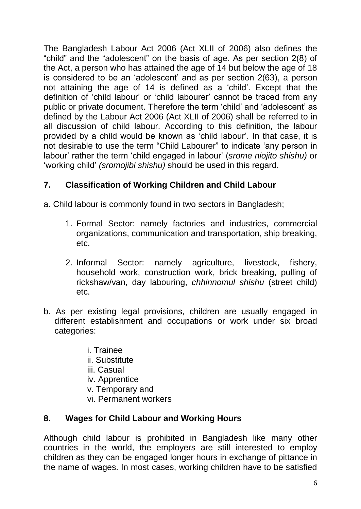The Bangladesh Labour Act 2006 (Act XLII of 2006) also defines the "child" and the "adolescent" on the basis of age. As per section 2(8) of the Act, a person who has attained the age of 14 but below the age of 18 is considered to be an "adolescent" and as per section 2(63), a person not attaining the age of 14 is defined as a "child". Except that the definition of "child labour" or "child labourer" cannot be traced from any public or private document. Therefore the term "child" and "adolescent" as defined by the Labour Act 2006 (Act XLII of 2006) shall be referred to in all discussion of child labour. According to this definition, the labour provided by a child would be known as "child labour". In that case, it is not desirable to use the term "Child Labourer" to indicate "any person in labour" rather the term "child engaged in labour" (*srome niojito shishu)* or "working child" *(sromojibi shishu)* should be used in this regard.

# **7. Classification of Working Children and Child Labour**

a. Child labour is commonly found in two sectors in Bangladesh;

- 1. Formal Sector: namely factories and industries, commercial organizations, communication and transportation, ship breaking, etc.
- 2. Informal Sector: namely agriculture, livestock, fishery, household work, construction work, brick breaking, pulling of rickshaw/van, day labouring, *chhinnomul shishu* (street child) etc.
- b. As per existing legal provisions, children are usually engaged in different establishment and occupations or work under six broad categories:
	- i. Trainee
	- ii. Substitute
	- iii. Casual
	- iv. Apprentice
	- v. Temporary and
	- vi. Permanent workers

## **8. Wages for Child Labour and Working Hours**

Although child labour is prohibited in Bangladesh like many other countries in the world, the employers are still interested to employ children as they can be engaged longer hours in exchange of pittance in the name of wages. In most cases, working children have to be satisfied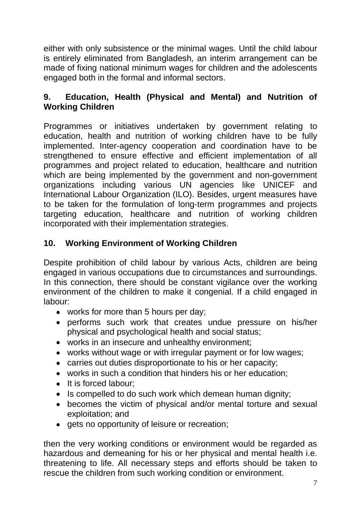either with only subsistence or the minimal wages. Until the child labour is entirely eliminated from Bangladesh, an interim arrangement can be made of fixing national minimum wages for children and the adolescents engaged both in the formal and informal sectors.

## **9. Education, Health (Physical and Mental) and Nutrition of Working Children**

Programmes or initiatives undertaken by government relating to education, health and nutrition of working children have to be fully implemented. Inter-agency cooperation and coordination have to be strengthened to ensure effective and efficient implementation of all programmes and project related to education, healthcare and nutrition which are being implemented by the government and non-government organizations including various UN agencies like UNICEF and International Labour Organization (ILO). Besides, urgent measures have to be taken for the formulation of long-term programmes and projects targeting education, healthcare and nutrition of working children incorporated with their implementation strategies.

## **10. Working Environment of Working Children**

Despite prohibition of child labour by various Acts, children are being engaged in various occupations due to circumstances and surroundings. In this connection, there should be constant vigilance over the working environment of the children to make it congenial. If a child engaged in labour:

- works for more than 5 hours per day;
- performs such work that creates undue pressure on his/her physical and psychological health and social status;
- works in an insecure and unhealthy environment;
- works without wage or with irregular payment or for low wages;
- carries out duties disproportionate to his or her capacity;
- works in such a condition that hinders his or her education;
- It is forced labour;  $\bullet$
- Is compelled to do such work which demean human dignity;
- becomes the victim of physical and/or mental torture and sexual exploitation; and
- **•** gets no opportunity of leisure or recreation;

then the very working conditions or environment would be regarded as hazardous and demeaning for his or her physical and mental health i.e. threatening to life. All necessary steps and efforts should be taken to rescue the children from such working condition or environment.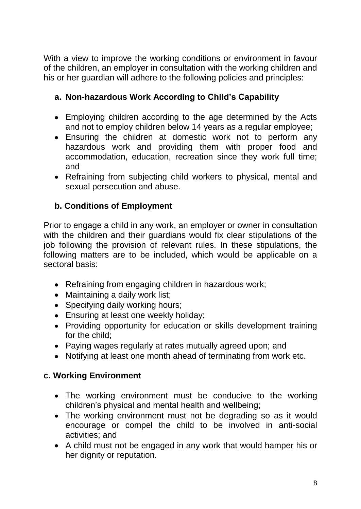With a view to improve the working conditions or environment in favour of the children, an employer in consultation with the working children and his or her guardian will adhere to the following policies and principles:

## **a. Non-hazardous Work According to Child's Capability**

- Employing children according to the age determined by the Acts and not to employ children below 14 years as a regular employee;
- Ensuring the children at domestic work not to perform any hazardous work and providing them with proper food and accommodation, education, recreation since they work full time; and
- Refraining from subjecting child workers to physical, mental and sexual persecution and abuse.

# **b. Conditions of Employment**

Prior to engage a child in any work, an employer or owner in consultation with the children and their guardians would fix clear stipulations of the job following the provision of relevant rules. In these stipulations, the following matters are to be included, which would be applicable on a sectoral basis:

- Refraining from engaging children in hazardous work;
- Maintaining a daily work list;
- Specifying daily working hours;
- **Ensuring at least one weekly holiday;**
- Providing opportunity for education or skills development training for the child;
- Paying wages regularly at rates mutually agreed upon; and
- Notifying at least one month ahead of terminating from work etc.

## **c. Working Environment**

- The working environment must be conducive to the working children"s physical and mental health and wellbeing;
- The working environment must not be degrading so as it would encourage or compel the child to be involved in anti-social activities; and
- A child must not be engaged in any work that would hamper his or her dignity or reputation.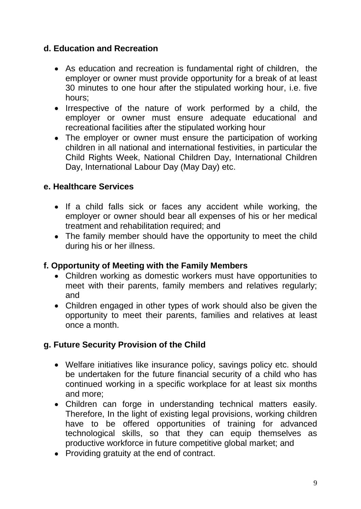## **d. Education and Recreation**

- As education and recreation is fundamental right of children, the employer or owner must provide opportunity for a break of at least 30 minutes to one hour after the stipulated working hour, i.e. five hours;
- Irrespective of the nature of work performed by a child, the employer or owner must ensure adequate educational and recreational facilities after the stipulated working hour
- The employer or owner must ensure the participation of working children in all national and international festivities, in particular the Child Rights Week, National Children Day, International Children Day, International Labour Day (May Day) etc.

#### **e. Healthcare Services**

- If a child falls sick or faces any accident while working, the employer or owner should bear all expenses of his or her medical treatment and rehabilitation required; and
- The family member should have the opportunity to meet the child during his or her illness.

## **f. Opportunity of Meeting with the Family Members**

- Children working as domestic workers must have opportunities to meet with their parents, family members and relatives regularly; and
- Children engaged in other types of work should also be given the opportunity to meet their parents, families and relatives at least once a month.

## **g. Future Security Provision of the Child**

- Welfare initiatives like insurance policy, savings policy etc. should be undertaken for the future financial security of a child who has continued working in a specific workplace for at least six months and more;
- Children can forge in understanding technical matters easily. Therefore, In the light of existing legal provisions, working children have to be offered opportunities of training for advanced technological skills, so that they can equip themselves as productive workforce in future competitive global market; and
- Providing gratuity at the end of contract.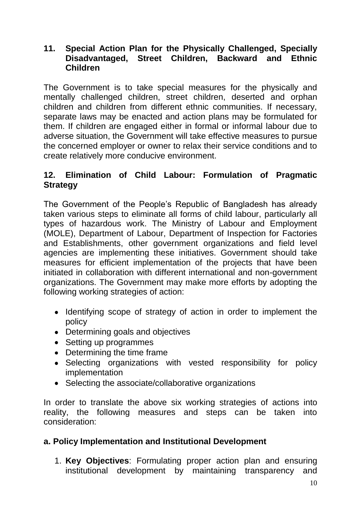#### **11. Special Action Plan for the Physically Challenged, Specially Disadvantaged, Street Children, Backward and Ethnic Children**

The Government is to take special measures for the physically and mentally challenged children, street children, deserted and orphan children and children from different ethnic communities. If necessary, separate laws may be enacted and action plans may be formulated for them. If children are engaged either in formal or informal labour due to adverse situation, the Government will take effective measures to pursue the concerned employer or owner to relax their service conditions and to create relatively more conducive environment.

#### **12. Elimination of Child Labour: Formulation of Pragmatic Strategy**

The Government of the People"s Republic of Bangladesh has already taken various steps to eliminate all forms of child labour, particularly all types of hazardous work. The Ministry of Labour and Employment (MOLE), Department of Labour, Department of Inspection for Factories and Establishments, other government organizations and field level agencies are implementing these initiatives. Government should take measures for efficient implementation of the projects that have been initiated in collaboration with different international and non-government organizations. The Government may make more efforts by adopting the following working strategies of action:

- Identifying scope of strategy of action in order to implement the policy
- Determining goals and objectives
- Setting up programmes
- Determining the time frame
- Selecting organizations with vested responsibility for policy implementation
- Selecting the associate/collaborative organizations

In order to translate the above six working strategies of actions into reality, the following measures and steps can be taken into consideration:

#### **a. Policy Implementation and Institutional Development**

1. **Key Objectives**: Formulating proper action plan and ensuring institutional development by maintaining transparency and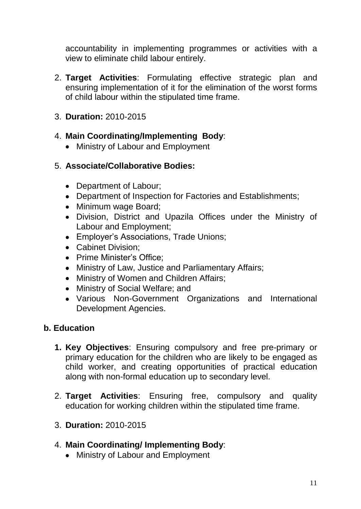accountability in implementing programmes or activities with a view to eliminate child labour entirely.

- 2. **Target Activities**: Formulating effective strategic plan and ensuring implementation of it for the elimination of the worst forms of child labour within the stipulated time frame.
- 3. **Duration:** 2010-2015

## 4. **Main Coordinating/Implementing Body**:

• Ministry of Labour and Employment

## 5. **Associate/Collaborative Bodies:**

- Department of Labour;
- Department of Inspection for Factories and Establishments;
- Minimum wage Board;
- Division, District and Upazila Offices under the Ministry of Labour and Employment;
- Employer's Associations, Trade Unions;
- Cabinet Division:
- Prime Minister's Office:
- Ministry of Law, Justice and Parliamentary Affairs;
- Ministry of Women and Children Affairs;
- Ministry of Social Welfare; and
- Various Non-Government Organizations and International Development Agencies.

## **b. Education**

- **1. Key Objectives**: Ensuring compulsory and free pre-primary or primary education for the children who are likely to be engaged as child worker, and creating opportunities of practical education along with non-formal education up to secondary level.
- 2. **Target Activities**: Ensuring free, compulsory and quality education for working children within the stipulated time frame.
- 3. **Duration:** 2010-2015
- 4. **Main Coordinating/ Implementing Body**:
	- Ministry of Labour and Employment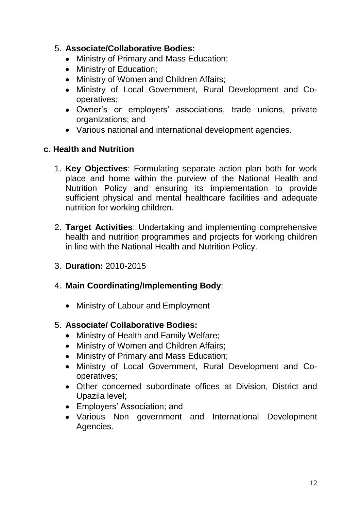#### 5. **Associate/Collaborative Bodies:**

- Ministry of Primary and Mass Education;
- Ministry of Education:
- Ministry of Women and Children Affairs;
- Ministry of Local Government, Rural Development and Cooperatives;
- Owner"s or employers" associations, trade unions, private organizations; and
- Various national and international development agencies.

#### **c. Health and Nutrition**

- 1. **Key Objectives**: Formulating separate action plan both for work place and home within the purview of the National Health and Nutrition Policy and ensuring its implementation to provide sufficient physical and mental healthcare facilities and adequate nutrition for working children.
- 2. **Target Activities**: Undertaking and implementing comprehensive health and nutrition programmes and projects for working children in line with the National Health and Nutrition Policy.
- 3. **Duration:** 2010-2015
- 4. **Main Coordinating/Implementing Body**:
	- Ministry of Labour and Employment

#### 5. **Associate/ Collaborative Bodies:**

- Ministry of Health and Family Welfare;
- Ministry of Women and Children Affairs;
- Ministry of Primary and Mass Education;
- Ministry of Local Government, Rural Development and Cooperatives;
- Other concerned subordinate offices at Division, District and Upazila level;
- Employers' Association; and
- Various Non government and International Development Agencies.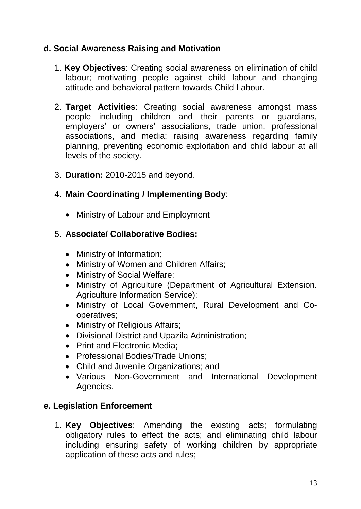## **d. Social Awareness Raising and Motivation**

- 1. **Key Objectives**: Creating social awareness on elimination of child labour; motivating people against child labour and changing attitude and behavioral pattern towards Child Labour.
- 2. **Target Activities**: Creating social awareness amongst mass people including children and their parents or guardians, employers' or owners' associations, trade union, professional associations, and media; raising awareness regarding family planning, preventing economic exploitation and child labour at all levels of the society.
- 3. **Duration:** 2010-2015 and beyond.
- 4. **Main Coordinating / Implementing Body**:
	- Ministry of Labour and Employment

#### 5. **Associate/ Collaborative Bodies:**

- Ministry of Information;
- Ministry of Women and Children Affairs;
- Ministry of Social Welfare;
- Ministry of Agriculture (Department of Agricultural Extension. Agriculture Information Service);
- Ministry of Local Government, Rural Development and Cooperatives;
- Ministry of Religious Affairs;
- Divisional District and Upazila Administration;
- Print and Electronic Media:
- Professional Bodies/Trade Unions:
- Child and Juvenile Organizations; and
- Various Non-Government and International Development Agencies.

## **e. Legislation Enforcement**

1. **Key Objectives**: Amending the existing acts; formulating obligatory rules to effect the acts; and eliminating child labour including ensuring safety of working children by appropriate application of these acts and rules;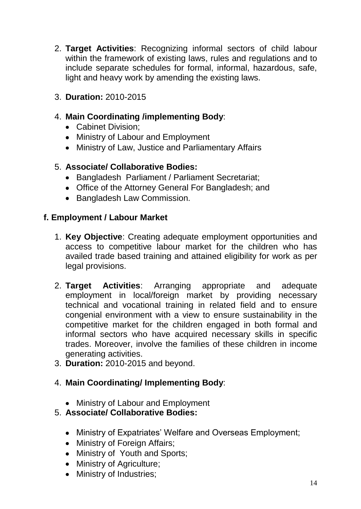- 2. **Target Activities**: Recognizing informal sectors of child labour within the framework of existing laws, rules and regulations and to include separate schedules for formal, informal, hazardous, safe, light and heavy work by amending the existing laws.
- 3. **Duration:** 2010-2015

#### 4. **Main Coordinating /implementing Body**:

- Cabinet Division:
- Ministry of Labour and Employment
- Ministry of Law, Justice and Parliamentary Affairs

#### 5. **Associate/ Collaborative Bodies:**

- Bangladesh Parliament / Parliament Secretariat;
- Office of the Attorney General For Bangladesh; and
- Bangladesh Law Commission.

#### **f. Employment / Labour Market**

- 1. **Key Objective**: Creating adequate employment opportunities and access to competitive labour market for the children who has availed trade based training and attained eligibility for work as per legal provisions.
- 2. **Target Activities**: Arranging appropriate and adequate employment in local/foreign market by providing necessary technical and vocational training in related field and to ensure congenial environment with a view to ensure sustainability in the competitive market for the children engaged in both formal and informal sectors who have acquired necessary skills in specific trades. Moreover, involve the families of these children in income generating activities.
- 3. **Duration:** 2010-2015 and beyond.

#### 4. **Main Coordinating/ Implementing Body**:

• Ministry of Labour and Employment

#### 5. **Associate/ Collaborative Bodies:**

- Ministry of Expatriates' Welfare and Overseas Employment;
- Ministry of Foreign Affairs;
- Ministry of Youth and Sports;
- Ministry of Agriculture;
- Ministry of Industries;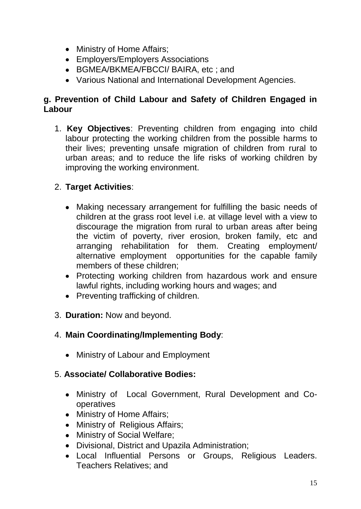- Ministry of Home Affairs;
- Employers/Employers Associations
- BGMEA/BKMEA/FBCCI/ BAIRA, etc ; and
- Various National and International Development Agencies.

#### **g. Prevention of Child Labour and Safety of Children Engaged in Labour**

1. **Key Objectives**: Preventing children from engaging into child labour protecting the working children from the possible harms to their lives; preventing unsafe migration of children from rural to urban areas; and to reduce the life risks of working children by improving the working environment.

## 2. **Target Activities**:

- Making necessary arrangement for fulfilling the basic needs of children at the grass root level i.e. at village level with a view to discourage the migration from rural to urban areas after being the victim of poverty, river erosion, broken family, etc and arranging rehabilitation for them. Creating employment/ alternative employment opportunities for the capable family members of these children;
- Protecting working children from hazardous work and ensure lawful rights, including working hours and wages; and
- Preventing trafficking of children.
- 3. **Duration:** Now and beyond.

#### 4. **Main Coordinating/Implementing Body**:

• Ministry of Labour and Employment

#### 5. **Associate/ Collaborative Bodies:**

- Ministry of Local Government, Rural Development and Cooperatives
- Ministry of Home Affairs;
- Ministry of Religious Affairs;
- Ministry of Social Welfare;
- Divisional, District and Upazila Administration;
- Local Influential Persons or Groups, Religious Leaders. Teachers Relatives; and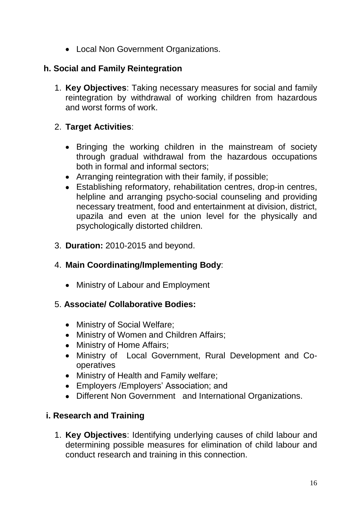• Local Non Government Organizations.

## **h. Social and Family Reintegration**

1. **Key Objectives**: Taking necessary measures for social and family reintegration by withdrawal of working children from hazardous and worst forms of work.

## 2. **Target Activities**:

- Bringing the working children in the mainstream of society through gradual withdrawal from the hazardous occupations both in formal and informal sectors;
- Arranging reintegration with their family, if possible;
- Establishing reformatory, rehabilitation centres, drop-in centres, helpline and arranging psycho-social counseling and providing necessary treatment, food and entertainment at division, district, upazila and even at the union level for the physically and psychologically distorted children.
- 3. **Duration:** 2010-2015 and beyond.

# 4. **Main Coordinating/Implementing Body**:

• Ministry of Labour and Employment

## 5. **Associate/ Collaborative Bodies:**

- Ministry of Social Welfare;
- Ministry of Women and Children Affairs;
- Ministry of Home Affairs;
- Ministry of Local Government, Rural Development and Cooperatives
- Ministry of Health and Family welfare;
- Employers / Employers' Association; and
- Different Non Government and International Organizations.

## **i. Research and Training**

1. **Key Objectives**: Identifying underlying causes of child labour and determining possible measures for elimination of child labour and conduct research and training in this connection.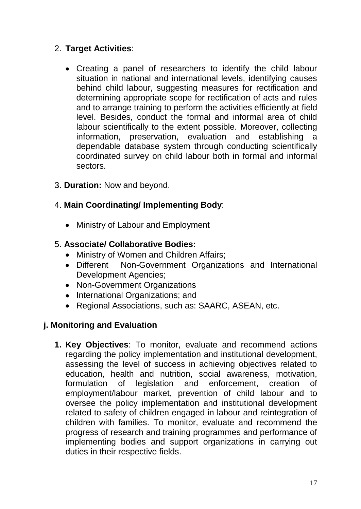## 2. **Target Activities**:

Creating a panel of researchers to identify the child labour situation in national and international levels, identifying causes behind child labour, suggesting measures for rectification and determining appropriate scope for rectification of acts and rules and to arrange training to perform the activities efficiently at field level. Besides, conduct the formal and informal area of child labour scientifically to the extent possible. Moreover, collecting information, preservation, evaluation and establishing a dependable database system through conducting scientifically coordinated survey on child labour both in formal and informal sectors.

#### 3. **Duration:** Now and beyond.

## 4. **Main Coordinating/ Implementing Body**:

• Ministry of Labour and Employment

#### 5. **Associate/ Collaborative Bodies:**

- $\bullet$ Ministry of Women and Children Affairs;
- Different Non-Government Organizations and International Development Agencies;
- Non-Government Organizations
- International Organizations; and
- Regional Associations, such as: SAARC, ASEAN, etc.

## **j. Monitoring and Evaluation**

**1. Key Objectives**: To monitor, evaluate and recommend actions regarding the policy implementation and institutional development, assessing the level of success in achieving objectives related to education, health and nutrition, social awareness, motivation, formulation of legislation and enforcement, creation of employment/labour market, prevention of child labour and to oversee the policy implementation and institutional development related to safety of children engaged in labour and reintegration of children with families. To monitor, evaluate and recommend the progress of research and training programmes and performance of implementing bodies and support organizations in carrying out duties in their respective fields.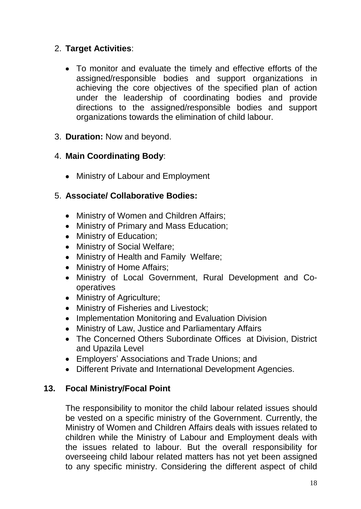## 2. **Target Activities**:

- To monitor and evaluate the timely and effective efforts of the assigned/responsible bodies and support organizations in achieving the core objectives of the specified plan of action under the leadership of coordinating bodies and provide directions to the assigned/responsible bodies and support organizations towards the elimination of child labour.
- 3. **Duration:** Now and beyond.

## 4. **Main Coordinating Body**:

• Ministry of Labour and Employment

## 5. **Associate/ Collaborative Bodies:**

- Ministry of Women and Children Affairs;
- Ministry of Primary and Mass Education;
- Ministry of Education;
- Ministry of Social Welfare;
- Ministry of Health and Family Welfare;
- Ministry of Home Affairs;
- Ministry of Local Government, Rural Development and Cooperatives
- Ministry of Agriculture;
- Ministry of Fisheries and Livestock;
- Implementation Monitoring and Evaluation Division
- Ministry of Law, Justice and Parliamentary Affairs
- The Concerned Others Subordinate Offices at Division, District and Upazila Level
- Employers' Associations and Trade Unions; and
- Different Private and International Development Agencies.

## **13. Focal Ministry/Focal Point**

The responsibility to monitor the child labour related issues should be vested on a specific ministry of the Government. Currently, the Ministry of Women and Children Affairs deals with issues related to children while the Ministry of Labour and Employment deals with the issues related to labour. But the overall responsibility for overseeing child labour related matters has not yet been assigned to any specific ministry. Considering the different aspect of child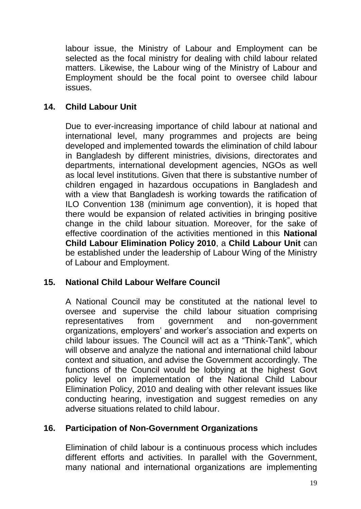labour issue, the Ministry of Labour and Employment can be selected as the focal ministry for dealing with child labour related matters. Likewise, the Labour wing of the Ministry of Labour and Employment should be the focal point to oversee child labour issues.

#### **14. Child Labour Unit**

Due to ever-increasing importance of child labour at national and international level, many programmes and projects are being developed and implemented towards the elimination of child labour in Bangladesh by different ministries, divisions, directorates and departments, international development agencies, NGOs as well as local level institutions. Given that there is substantive number of children engaged in hazardous occupations in Bangladesh and with a view that Bangladesh is working towards the ratification of ILO Convention 138 (minimum age convention), it is hoped that there would be expansion of related activities in bringing positive change in the child labour situation. Moreover, for the sake of effective coordination of the activities mentioned in this **National Child Labour Elimination Policy 2010**, a **Child Labour Unit** can be established under the leadership of Labour Wing of the Ministry of Labour and Employment.

#### **15. National Child Labour Welfare Council**

A National Council may be constituted at the national level to oversee and supervise the child labour situation comprising representatives from government and non-government organizations, employers" and worker"s association and experts on child labour issues. The Council will act as a "Think-Tank", which will observe and analyze the national and international child labour context and situation, and advise the Government accordingly. The functions of the Council would be lobbying at the highest Govt policy level on implementation of the National Child Labour Elimination Policy, 2010 and dealing with other relevant issues like conducting hearing, investigation and suggest remedies on any adverse situations related to child labour.

#### **16. Participation of Non-Government Organizations**

Elimination of child labour is a continuous process which includes different efforts and activities. In parallel with the Government, many national and international organizations are implementing